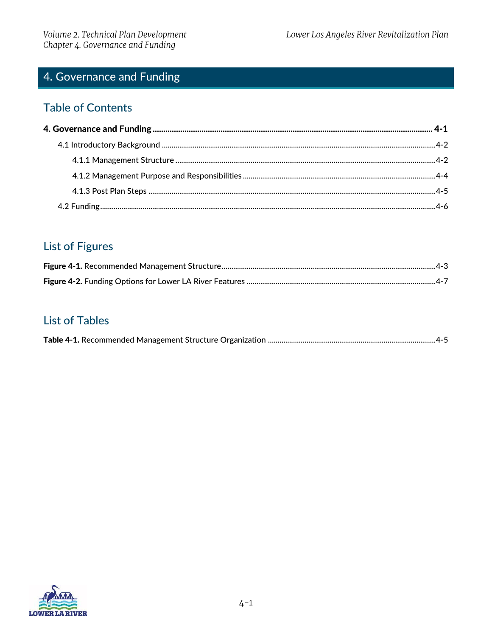# <span id="page-0-0"></span>4. Governance and Funding

### **Table of Contents**

# **List of Figures**

# **List of Tables**

|--|

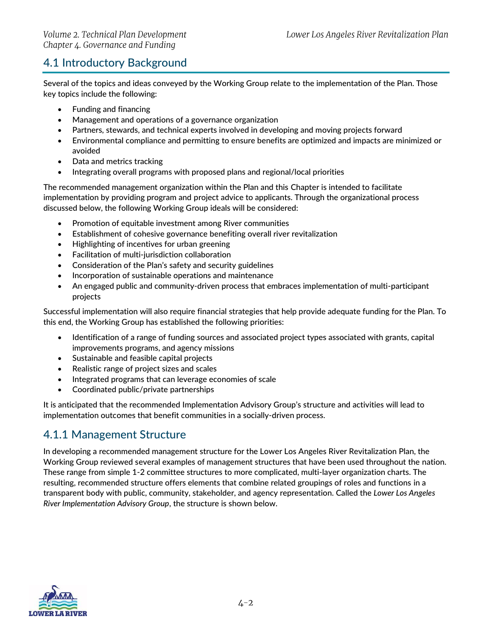### <span id="page-1-0"></span>4.1 Introductory Background

Several of the topics and ideas conveyed by the Working Group relate to the implementation of the Plan. Those key topics include the following:

- Funding and financing
- Management and operations of a governance organization
- Partners, stewards, and technical experts involved in developing and moving projects forward
- Environmental compliance and permitting to ensure benefits are optimized and impacts are minimized or avoided
- Data and metrics tracking
- Integrating overall programs with proposed plans and regional/local priorities

The recommended management organization within the Plan and this Chapter is intended to facilitate implementation by providing program and project advice to applicants. Through the organizational process discussed below, the following Working Group ideals will be considered:

- Promotion of equitable investment among River communities
- Establishment of cohesive governance benefiting overall river revitalization
- Highlighting of incentives for urban greening
- Facilitation of multi-jurisdiction collaboration
- Consideration of the Plan's safety and security guidelines
- Incorporation of sustainable operations and maintenance
- An engaged public and community-driven process that embraces implementation of multi-participant projects

Successful implementation will also require financial strategies that help provide adequate funding for the Plan. To this end, the Working Group has established the following priorities:

- Identification of a range of funding sources and associated project types associated with grants, capital improvements programs, and agency missions
- Sustainable and feasible capital projects
- Realistic range of project sizes and scales
- Integrated programs that can leverage economies of scale
- Coordinated public/private partnerships

It is anticipated that the recommended Implementation Advisory Group's structure and activities will lead to implementation outcomes that benefit communities in a socially-driven process.

#### <span id="page-1-1"></span>4.1.1 Management Structure

In developing a recommended management structure for the Lower Los Angeles River Revitalization Plan, the Working Group reviewed several examples of management structures that have been used throughout the nation. These range from simple 1-2 committee structures to more complicated, multi-layer organization charts. The resulting, recommended structure offers elements that combine related groupings of roles and functions in a transparent body with public, community, stakeholder, and agency representation. Called the *Lower Los Angeles River Implementation Advisory Group*, the structure is shown below.

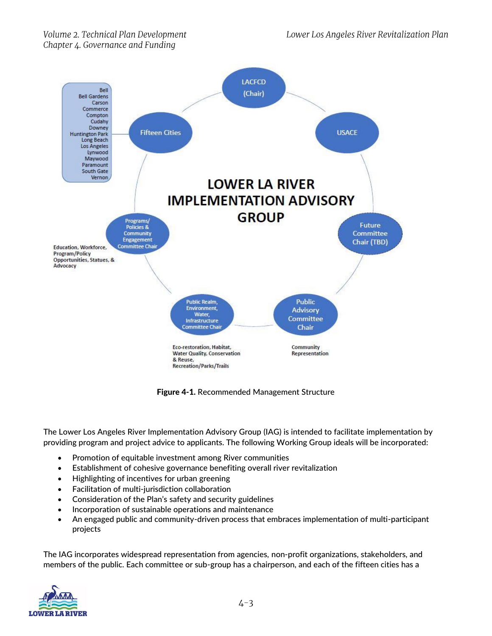

Figure 4-1. Recommended Management Structure

Chair

Community

Representation

<span id="page-2-0"></span>The Lower Los Angeles River Implementation Advisory Group (IAG) is intended to facilitate implementation by providing program and project advice to applicants. The following Working Group ideals will be incorporated:

- Promotion of equitable investment among River communities
- Establishment of cohesive governance benefiting overall river revitalization

Infrastructure **Committee Chai** 

Eco-restoration, Habitat,

Recreation/Parks/Trails

& Reuse

**Water Quality, Conservation** 

- Highlighting of incentives for urban greening
- Facilitation of multi-jurisdiction collaboration
- Consideration of the Plan's safety and security guidelines
- Incorporation of sustainable operations and maintenance
- An engaged public and community-driven process that embraces implementation of multi-participant projects

The IAG incorporates widespread representation from agencies, non-profit organizations, stakeholders, and members of the public. Each committee or sub-group has a chairperson, and each of the fifteen cities has a

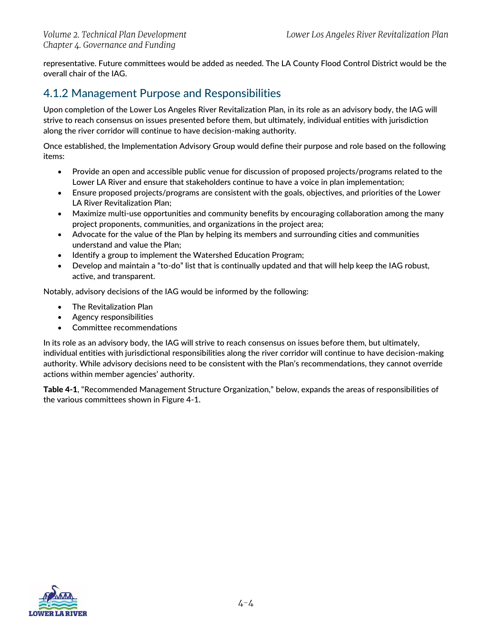representative. Future committees would be added as needed. The LA County Flood Control District would be the overall chair of the IAG.

### <span id="page-3-0"></span>4.1.2 Management Purpose and Responsibilities

Upon completion of the Lower Los Angeles River Revitalization Plan, in its role as an advisory body, the IAG will strive to reach consensus on issues presented before them, but ultimately, individual entities with jurisdiction along the river corridor will continue to have decision-making authority.

Once established, the Implementation Advisory Group would define their purpose and role based on the following items:

- Provide an open and accessible public venue for discussion of proposed projects/programs related to the Lower LA River and ensure that stakeholders continue to have a voice in plan implementation;
- Ensure proposed projects/programs are consistent with the goals, objectives, and priorities of the Lower LA River Revitalization Plan;
- Maximize multi-use opportunities and community benefits by encouraging collaboration among the many project proponents, communities, and organizations in the project area;
- Advocate for the value of the Plan by helping its members and surrounding cities and communities understand and value the Plan;
- Identify a group to implement the Watershed Education Program;
- Develop and maintain a "to-do" list that is continually updated and that will help keep the IAG robust, active, and transparent.

Notably, advisory decisions of the IAG would be informed by the following:

- The Revitalization Plan
- Agency responsibilities
- Committee recommendations

In its role as an advisory body, the IAG will strive to reach consensus on issues before them, but ultimately, individual entities with jurisdictional responsibilities along the river corridor will continue to have decision-making authority. While advisory decisions need to be consistent with the Plan's recommendations, they cannot override actions within member agencies' authority.

[Table 4-1](#page-4-1), "Recommended Management Structure Organization," below, expands the areas of responsibilities of the various committees shown in Figure 4-1.

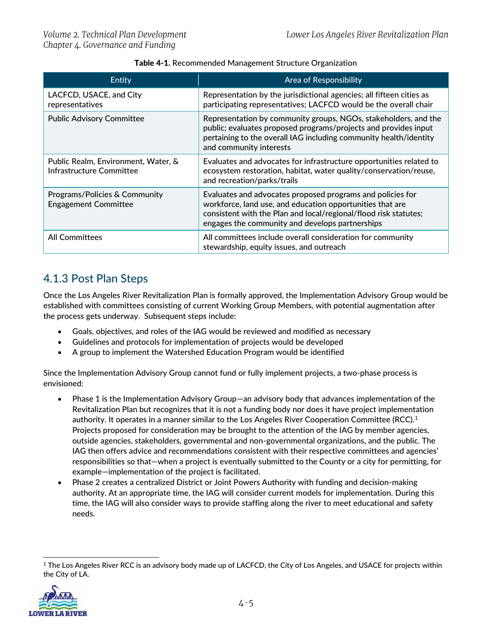| Table 4-1. Recommended Management Structure Organization |  |
|----------------------------------------------------------|--|
|----------------------------------------------------------|--|

<span id="page-4-1"></span>

| Entity                                                                 | <b>Area of Responsibility</b>                                                                                                                                                                                                                  |
|------------------------------------------------------------------------|------------------------------------------------------------------------------------------------------------------------------------------------------------------------------------------------------------------------------------------------|
| LACFCD, USACE, and City<br>representatives                             | Representation by the jurisdictional agencies; all fifteen cities as<br>participating representatives; LACFCD would be the overall chair                                                                                                       |
| <b>Public Advisory Committee</b>                                       | Representation by community groups, NGOs, stakeholders, and the<br>public; evaluates proposed programs/projects and provides input<br>pertaining to the overall IAG including community health/identity<br>and community interests             |
| Public Realm, Environment, Water, &<br><b>Infrastructure Committee</b> | Evaluates and advocates for infrastructure opportunities related to<br>ecosystem restoration, habitat, water quality/conservation/reuse,<br>and recreation/parks/trails                                                                        |
| Programs/Policies & Community<br><b>Engagement Committee</b>           | Evaluates and advocates proposed programs and policies for<br>workforce, land use, and education opportunities that are<br>consistent with the Plan and local/regional/flood risk statutes;<br>engages the community and develops partnerships |
| <b>All Committees</b>                                                  | All committees include overall consideration for community<br>stewardship, equity issues, and outreach                                                                                                                                         |

# <span id="page-4-0"></span>4.1.3 Post Plan Steps

Once the Los Angeles River Revitalization Plan is formally approved, the Implementation Advisory Group would be established with committees consisting of current Working Group Members, with potential augmentation after the process gets underway. Subsequent steps include:

- Goals, objectives, and roles of the IAG would be reviewed and modified as necessary
- Guidelines and protocols for implementation of projects would be developed
- A group to implement the Watershed Education Program would be identified

Since the Implementation Advisory Group cannot fund or fully implement projects, a two-phase process is envisioned:

- Phase 1 is the Implementation Advisory Group—an advisory body that advances implementation of the Revitalization Plan but recognizes that it is not a funding body nor does it have project implementation authority. It operates in a manner similar to the Los Angeles River Cooperation Committee (RCC).<sup>1</sup> Projects proposed for consideration may be brought to the attention of the IAG by member agencies, outside agencies, stakeholders, governmental and non-governmental organizations, and the public. The IAG then offers advice and recommendations consistent with their respective committees and agencies' responsibilities so that—when a project is eventually submitted to the County or a city for permitting, for example—implementation of the project is facilitated.
- Phase 2 creates a centralized District or Joint Powers Authority with funding and decision-making authority. At an appropriate time, the IAG will consider current models for implementation. During this time, the IAG will also consider ways to provide staffing along the river to meet educational and safety needs.

<sup>&</sup>lt;sup>1</sup> The Los Angeles River RCC is an advisory body made up of LACFCD, the City of Los Angeles, and USACE for projects within the City of LA.



 $\overline{a}$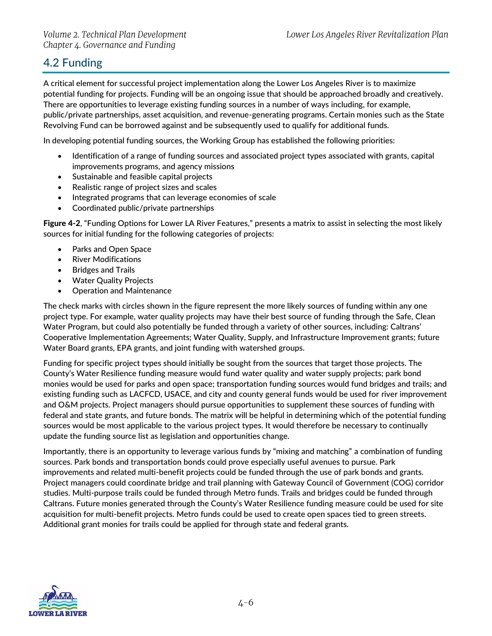## <span id="page-5-0"></span>4.2 Funding

A critical element for successful project implementation along the Lower Los Angeles River is to maximize potential funding for projects. Funding will be an ongoing issue that should be approached broadly and creatively. There are opportunities to leverage existing funding sources in a number of ways including, for example, public/private partnerships, asset acquisition, and revenue-generating programs. Certain monies such as the State Revolving Fund can be borrowed against and be subsequently used to qualify for additional funds.

In developing potential funding sources, the Working Group has established the following priorities:

- Identification of a range of funding sources and associated project types associated with grants, capital improvements programs, and agency missions
- Sustainable and feasible capital projects
- Realistic range of project sizes and scales
- Integrated programs that can leverage economies of scale
- Coordinated public/private partnerships

[Figure 4-2](#page-6-0), "Funding Options for Lower LA River Features," presents a matrix to assist in selecting the most likely sources for initial funding for the following categories of projects:

- Parks and Open Space
- River Modifications
- Bridges and Trails
- Water Quality Projects
- Operation and Maintenance

The check marks with circles shown in the figure represent the more likely sources of funding within any one project type. For example, water quality projects may have their best source of funding through the Safe, Clean Water Program, but could also potentially be funded through a variety of other sources, including: Caltrans' Cooperative Implementation Agreements; Water Quality, Supply, and Infrastructure Improvement grants; future Water Board grants, EPA grants, and joint funding with watershed groups.

Funding for specific project types should initially be sought from the sources that target those projects. The County's Water Resilience funding measure would fund water quality and water supply projects; park bond monies would be used for parks and open space; transportation funding sources would fund bridges and trails; and existing funding such as LACFCD, USACE, and city and county general funds would be used for river improvement and O&M projects. Project managers should pursue opportunities to supplement these sources of funding with federal and state grants, and future bonds. The matrix will be helpful in determining which of the potential funding sources would be most applicable to the various project types. It would therefore be necessary to continually update the funding source list as legislation and opportunities change.

Importantly, there is an opportunity to leverage various funds by "mixing and matching" a combination of funding sources. Park bonds and transportation bonds could prove especially useful avenues to pursue. Park improvements and related multi-benefit projects could be funded through the use of park bonds and grants. Project managers could coordinate bridge and trail planning with Gateway Council of Government (COG) corridor studies. Multi-purpose trails could be funded through Metro funds. Trails and bridges could be funded through Caltrans. Future monies generated through the County's Water Resilience funding measure could be used for site acquisition for multi-benefit projects. Metro funds could be used to create open spaces tied to green streets. Additional grant monies for trails could be applied for through state and federal grants.